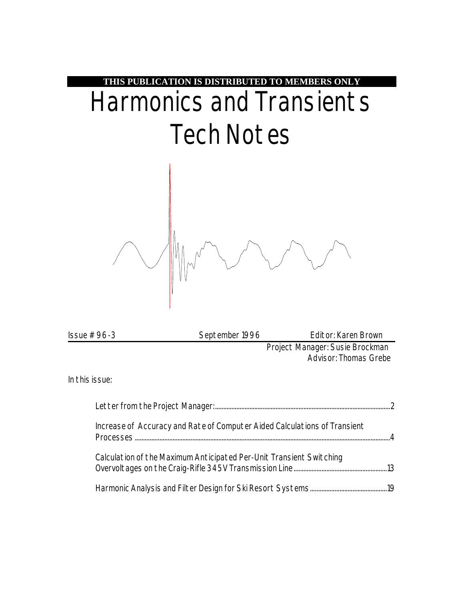

| $\ssue #96-3$  | September 1996                                                            | Editor: Karen Brown                                      |
|----------------|---------------------------------------------------------------------------|----------------------------------------------------------|
|                |                                                                           | Project Manager: Susie Brockman<br>Advisor: Thomas Grebe |
| In this issue: |                                                                           |                                                          |
|                |                                                                           |                                                          |
| Processes      | Increase of Accuracy and Rate of Computer Aided Calculations of Transient |                                                          |

Calculation of the Maximum Anticipated Per-Unit Transient Switching Overvoltages on the Craig-Rifle 345V Transmission Line.........................................................13

Harmonic Analysis and Filter Design for Ski Resort Systems...............................................19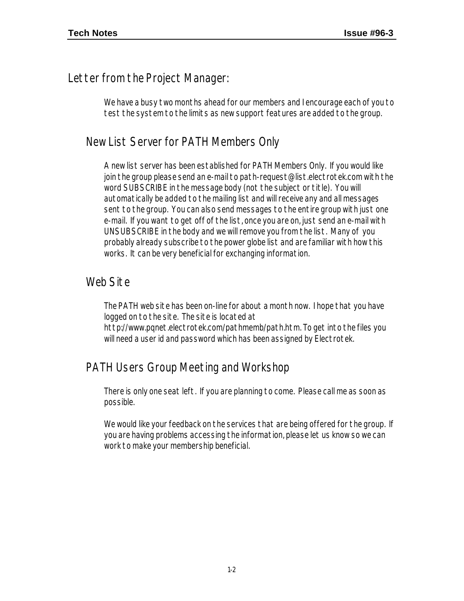### Letter from the Project Manager:

We have a busy two months ahead for our members and I encourage each of you to test the system to the limits as new support features are added to the group.

### New List Server for PATH Members Only

A new list server has been established for PATH Members Only. If you would like join the group please send an e-mail to path-request@list.electrotek.com with the word SUBSCRIBE in the message body (not the subject or title). You will automatically be added to the mailing list and will receive any and all messages sent to the group. You can also send messages to the entire group with just one e-mail. If you want to get off of the list, once you are on, just send an e-mail with UNSUBSCRIBE in the body and we will remove you from the list. Many of you probably already subscribe to the power globe list and are familiar with how this works. It can be very beneficial for exchanging information.

### Web Site

The PATH web site has been on-line for about a month now. I hope that you have logged on to the site. The site is located at http://www.pqnet.electrotek.com/pathmemb/path.htm. To get into the files you will need a user id and password which has been assigned by Electrotek.

### PATH Users Group Meeting and Workshop

There is only one seat left. If you are planning to come. Please call me as soon as possible.

We would like your feedback on the services that are being offered for the group. If you are having problems accessing the information, please let us know so we can work to make your membership beneficial.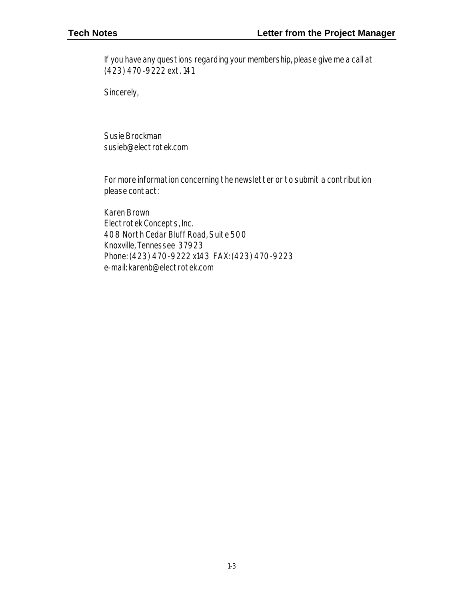If you have any questions regarding your membership, please give me a call at (423) 470-9222 ext. 141

Sincerely,

Susie Brockman susieb@electrotek.com

For more information concerning the newsletter or to submit a contribution please contact:

Karen Brown Electrotek Concepts, Inc. 408 North Cedar Bluff Road, Suite 500 Knoxville, Tennessee 37923 Phone: (423) 470-9222 x143 FAX: (423) 470-9223 e-mail: karenb@electrotek.com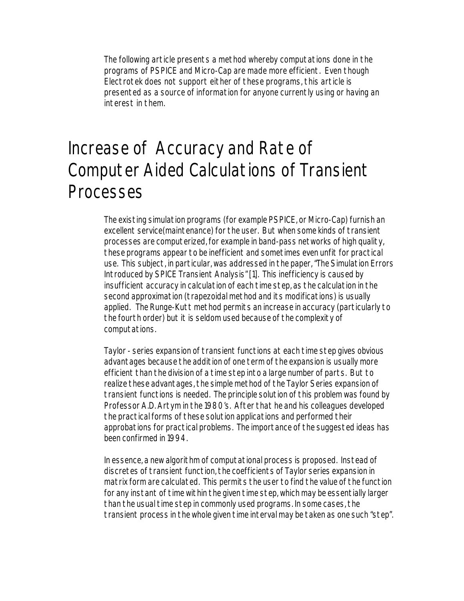The following article presents a method whereby computations done in the programs of PSPICE and Micro-Cap are made more efficient. Even though Electrotek does not support either of these programs, this article is presented as a source of information for anyone currently using or having an interest in them.

# Increase of Accuracy and Rate of Computer Aided Calculations of Transient Processes

The existing simulation programs (for example PSPICE, or Micro-Cap) furnish an excellent service(maintenance) for the user. But when some kinds of transient processes are computerized, for example in band-pass networks of high quality, these programs appear to be inefficient and sometimes even unfit for practical use. This subject, in particular, was addressed in the paper, "The Simulation Errors Introduced by SPICE Transient Analysis" [1]. This inefficiency is caused by insufficient accuracy in calculation of each time step, as the calculation in the second approximation (trapezoidal method and its modifications) is usually applied. The Runge-Kutt method permits an increase in accuracy (particularly to the fourth order) but it is seldom used because of the complexity of computations.

Taylor - series expansion of transient functions at each time step gives obvious advantages because the addition of one term of the expansion is usually more efficient than the division of a time step into a large number of parts. But to realize these advantages, the simple method of the Taylor Series expansion of transient functions is needed. The principle solution of this problem was found by Professor A.D. Artym in the 1980's. After that he and his colleagues developed the practical forms of these solution applications and performed their approbations for practical problems. The importance of the suggested ideas has been confirmed in 1994.

In essence, a new algorithm of computational process is proposed. Instead of discretes of transient function, the coefficients of Taylor series expansion in matrix form are calculated. This permits the user to find the value of the function for any instant of time within the given time step, which may be essentially larger than the usual time step in commonly used programs. In some cases, the transient process in the whole given time interval may be taken as one such "step".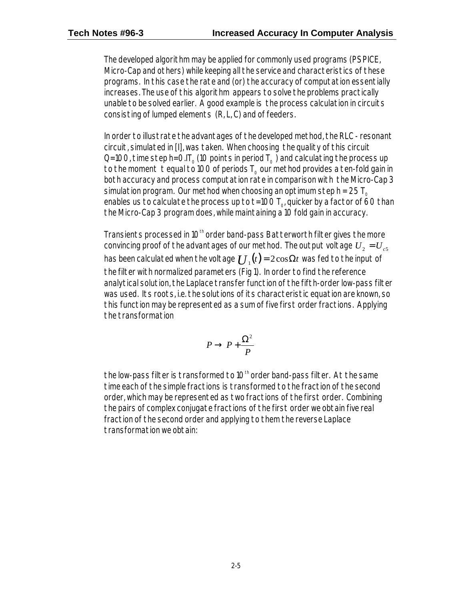The developed algorithm may be applied for commonly used programs (PSPICE, Micro-Cap and others) while keeping all the service and characteristics of these programs. In this case the rate and (or) the accuracy of computation essentially increases. The use of this algorithm appears to solve the problems practically unable to be solved earlier. A good example is the process calculation in circuits consisting of lumped elements (R, L, C) and of feeders.

In order to illustrate the advantages of the developed method, the RLC - resonant circuit, simulated in [I], was taken. When choosing the quality of this circuit Q=100, time step h=0.IT<sub>o</sub> (10 points in period  $T_0$ ) and calculating the process up to the moment t equal to 100 of periods  $T_0$  our method provides a ten-fold gain in both accuracy and process computation rate in comparison with the Micro-Cap 3 simulation program. Our method when choosing an optimum step  $h = 25 T_0$ enables us to calculate the process up to t=100  $\mathsf{T}_{\mathrm{o}'}$  quicker by a factor of 60 than the Micro-Cap 3 program does, while maintaining a 10 fold gain in accuracy.

Transients processed in 10<sup>th</sup> order band-pass Batterworth filter gives the more convincing proof of the advantages of our method. The output voltage  $U_2 = U_{c5}$ has been calculated when the voltage  $U_1(t) = 2\cos\Omega t$  was fed to the input of the filter with normalized parameters (Fig 1). In order to find the reference analytical solution, the Laplace transfer function of the fifth-order low-pass filter was used. Its roots, i.e. the solutions of its characteristic equation are known, so this function may be represented as a sum of five first order fractions. Applying the transformation

$$
P \to P + \frac{\Omega^2}{P}
$$

the low-pass filter is transformed to  $10<sup>th</sup>$  order band-pass filter. At the same time each of the simple fractions is transformed to the fraction of the second order, which may be represented as two fractions of the first order. Combining the pairs of complex conjugate fractions of the first order we obtain five real fraction of the second order and applying to them the reverse Laplace transformation we obtain: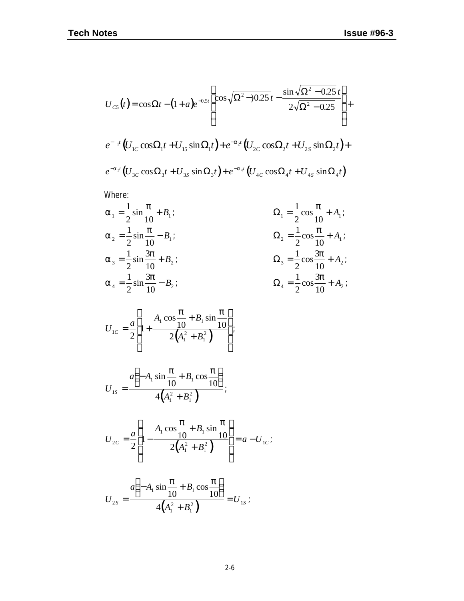$$
U_{cs}(t) = \cos \Omega t - (1 + a)e^{-0.5t} \left[ \cos \sqrt{\Omega^2 - 0.25} t - \frac{\sin \sqrt{\Omega^2 - 0.25} t}{2\sqrt{\Omega^2 - 0.25}} \right] +
$$
  

$$
e^{-t} (U_{1c} \cos \Omega_1 t + U_{15} \sin \Omega_1 t) + e^{-a_2 t} (U_{2c} \cos \Omega_2 t + U_{2s} \sin \Omega_2 t) +
$$
  

$$
e^{-a_3 t} (U_{3c} \cos \Omega_3 t + U_{3s} \sin \Omega_3 t) + e^{-a_4 t} (U_{4c} \cos \Omega_4 t + U_{4s} \sin \Omega_4 t)
$$

Where:

$$
a_1 = \frac{1}{2}\sin{\frac{\mathbf{p}}{10}} + B_1;
$$
\n
$$
a_2 = \frac{1}{2}\sin{\frac{\mathbf{p}}{10}} - B_1;
$$
\n
$$
a_3 = \frac{1}{2}\sin{\frac{3\mathbf{p}}{10}} + B_2;
$$
\n
$$
a_4 = \frac{1}{2}\sin{\frac{3\mathbf{p}}{10}} - B_2;
$$
\n
$$
a_5 = \frac{1}{2}\sin{\frac{3\mathbf{p}}{10}} - B_2;
$$
\n
$$
a_6 = \frac{1}{2}\cos{\frac{3\mathbf{p}}{10}} + A_2;
$$
\n
$$
a_7 = \frac{1}{2}\cos{\frac{3\mathbf{p}}{10}} + A_2;
$$
\n
$$
a_8 = \frac{1}{2}\cos{\frac{3\mathbf{p}}{10}} + A_2;
$$

$$
U_{1C} = \frac{a}{2} \left[ 1 + \frac{A_1 \cos \frac{\mathbf{p}}{10} + B_1 \sin \frac{\mathbf{p}}{10}}{2(A_1^2 + B_1^2)} \right];
$$

$$
U_{1S} = \frac{a\left(-A_1 \sin \frac{\mathbf{p}}{10} + B_1 \cos \frac{\mathbf{p}}{10}\right)}{4\left(A_1^2 + B_1^2\right)}.
$$

$$
U_{2C} = \frac{a}{2} \left[ 1 - \frac{A_1 \cos \frac{\mathbf{p}}{10} + B_1 \sin \frac{\mathbf{p}}{10}}{2(A_1^2 + B_1^2)} \right] = a - U_{1C};
$$

$$
U_{2S} = \frac{a\left(-A_1 \sin \frac{\mathbf{p}}{10} + B_1 \cos \frac{\mathbf{p}}{10}\right)}{4\left(A_1^2 + B_1^2\right)} = U_{1S}.
$$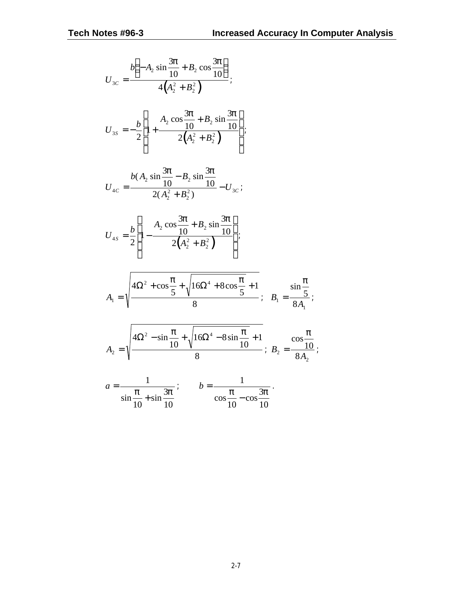;

$$
U_{3c} = \frac{b\left(-A_2 \sin \frac{3p}{10} + B_2 \cos \frac{3p}{10}\right)}{4\left(A_2^2 + B_2^2\right)}
$$
  
\n
$$
U_{3s} = -\frac{b}{2} \left[1 + \frac{A_2 \cos \frac{3p}{10} + B_2 \sin \frac{3p}{10}}{2\left(A_2^2 + B_2^2\right)}\right]
$$
  
\n
$$
U_{4c} = \frac{b(A_2 \sin \frac{3p}{10} - B_2 \sin \frac{3p}{10}}{2\left(A_2^2 + B_2^2\right)} - U_{3c}
$$
  
\n
$$
U_{4s} = \frac{b}{2} \left[1 - \frac{A_2 \cos \frac{3p}{10} + B_2 \sin \frac{3p}{10}}{2\left(A_2^2 + B_2^2\right)}\right]
$$
  
\n
$$
A_1 = \sqrt{\frac{4\Omega^2 + \cos \frac{p}{5} + \sqrt{16\Omega^4 + 8\cos \frac{p}{5} + 1}}{8}}; \quad B_1 = \frac{\sin \frac{p}{5}}{8A_1};
$$
  
\n
$$
A_2 = \sqrt{\frac{4\Omega^2 - \sin \frac{p}{10} + \sqrt{16\Omega^4 - 8\sin \frac{p}{10} + 1}}{8}}; \quad B_2 = \frac{\cos \frac{p}{10}}{8A_2};
$$
  
\n
$$
a = \frac{1}{\sin \frac{p}{2} + \sin \frac{3p}{2}}; \quad b = \frac{1}{\cos \frac{p}{2} - \cos \frac{3p}{2}}.
$$

10

10

10

10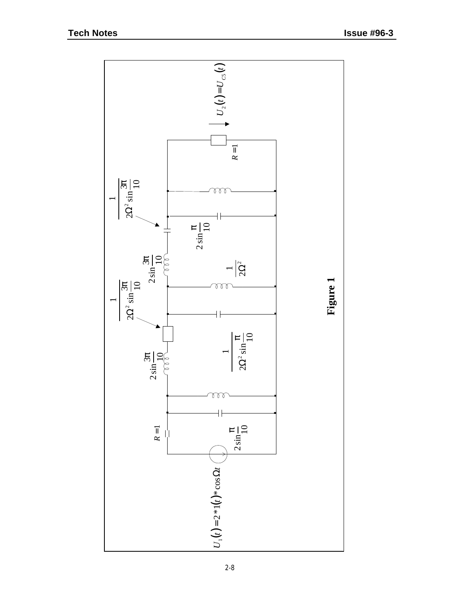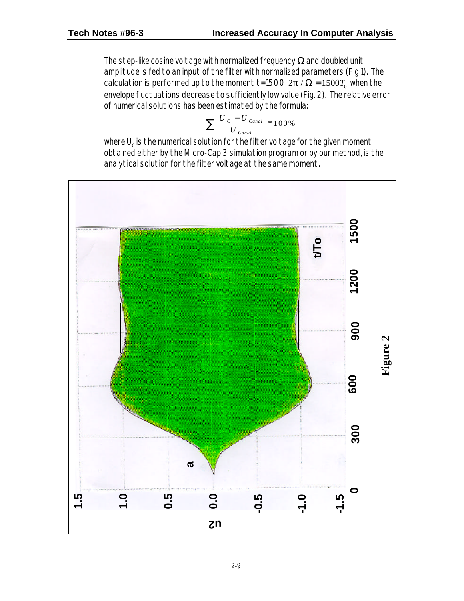The step-like cosine voltage with normalized frequency  $\Omega$  and doubled unit amplitude is fed to an input of the filter with normalized parameters (Fig 1). The calculation is performed up to the moment t=1500  $2\bm{p}$  /  $\Omega$  = 1500 $T_{\text{o}}$  when the envelope fluctuations decrease to sufficiently low value (Fig. 2). The relative error of numerical solutions has been estimated by the formula:

$$
\sum \left| \frac{U_C - U_{\text{Canal}}}{U_{\text{Canal}}} \right| * 100\%
$$

where  ${\mathsf U}_{\rm c}$  is the numerical solution for the filter voltage for the given moment obtained either by the Micro-Cap 3 simulation program or by our method, is the analytical solution for the filter voltage at the same moment.

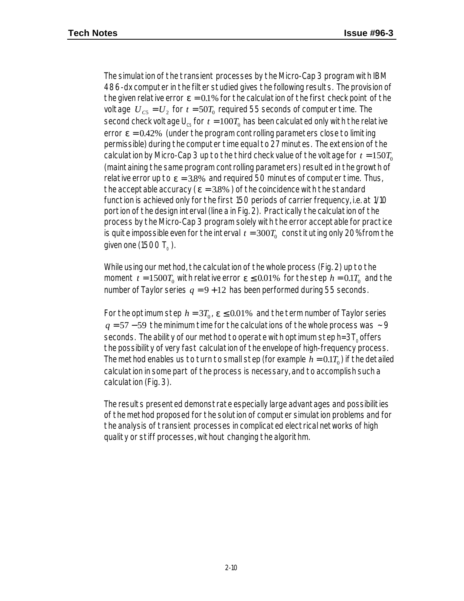The simulation of the transient processes by the Micro-Cap 3 program with IBM 486-dx computer in the filter studied gives the following results. The provision of the given relative error  $e = 0.1\%$  for the calculation of the first check point of the voltage  $\;{U}_{cs}$  =  $U_{_2}$  for  $\;t$  = 50 $T_{_0}$  required 55 seconds of computer time. The second check voltage  $\sf{U}_{\rm cs}$  for  $\,t=100T_{\rm o}$  has been calculated only with the relative error  $e = 0.42\%$  (under the program controlling parameters close to limiting permissible) during the computer time equal to 27 minutes. The extension of the calculation by Micro-Cap 3 up to the third check value of the voltage for  $t = 150T_0$ (maintaining the same program controlling parameters) resulted in the growth of relative error up to  $e = 3.8\%$  and required 50 minutes of computer time. Thus, the acceptable accuracy ( $\mathbf{e} = 3.8\%$ ) of the coincidence with the standard function is achieved only for the first 150 periods of carrier frequency, i.e. at 1/10 portion of the design interval (line a in Fig. 2). Practically the calculation of the process by the Micro-Cap 3 program solely with the error acceptable for practice is quite impossible even for the interval  $\it t=300T_0~$  constituting only 20% from the given one (1500 T $_{\tiny \odot}$  ).

While using our method, the calculation of the whole process (Fig. 2) up to the moment  $t = 1500T_0$  with relative error  $e \le 0.01\%$  for the step  $h = 0.1T_0$  and the number of Taylor series  $q = 9 + 12$  has been performed during 55 seconds.

For the optimum step  $h = 3T_0$ ,  $e \le 0.01\%$  and the term number of Taylor series *q* = 57 − 59 the minimum time for the calculations of the whole process was ~ 9 seconds. The ability of our method to operate with optimum step  $h=3T_0$  offers the possibility of very fast calculation of the envelope of high-frequency process. The method enables us to turn to small step (for example  $\,h=0.1T_{\rm o}$ ) if the detailed calculation in some part of the process is necessary, and to accomplish such a calculation (Fig. 3).

The results presented demonstrate especially large advantages and possibilities of the method proposed for the solution of computer simulation problems and for the analysis of transient processes in complicated electrical networks of high quality or stiff processes, without changing the algorithm.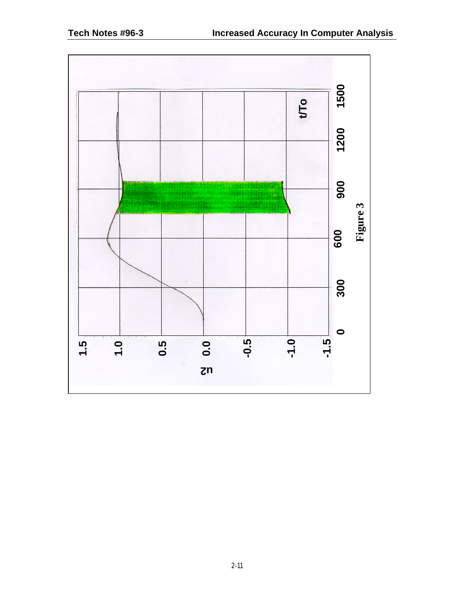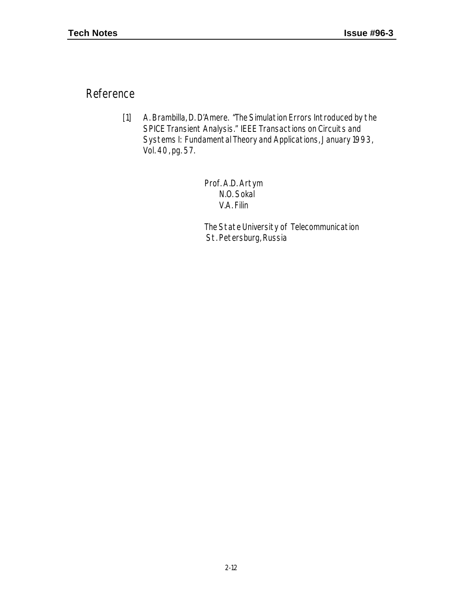Reference

[1] A. Brambilla, D. D'Amere. "The Simulation Errors Introduced by the SPICE Transient Analysis." IEEE Transactions on Circuits and Systems I: Fundamental Theory and Applications, January 1993, Vol. 40, pg. 57.

> Prof. A.D. Artym N.O. Sokal V.A. Filin

The State University of Telecommunication St. Petersburg, Russia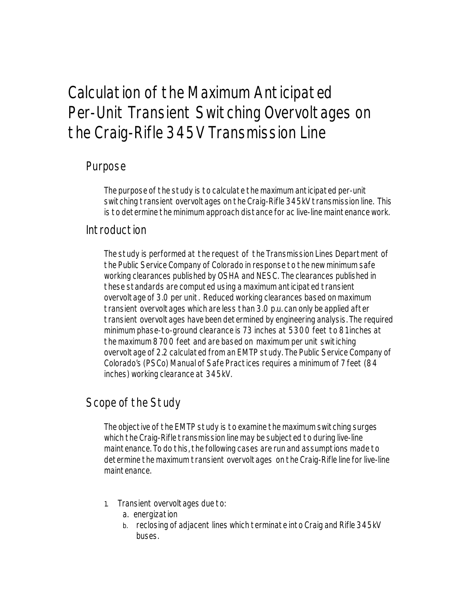# Calculation of the Maximum Anticipated Per-Unit Transient Switching Overvoltages on the Craig-Rifle 345V Transmission Line

### Purpose

The purpose of the study is to calculate the maximum anticipated per-unit switching transient overvoltages on the Craig-Rifle 345kV transmission line. This is to determine the minimum approach distance for ac live-line maintenance work.

### Introduction

The study is performed at the request of the Transmission Lines Department of the Public Service Company of Colorado in response to the new minimum safe working clearances published by OSHA and NESC. The clearances published in these standards are computed using a maximum anticipated transient overvoltage of 3.0 per unit. Reduced working clearances based on maximum transient overvoltages which are less than 3.0 p.u. can only be applied after transient overvoltages have been determined by engineering analysis. The required minimum phase-to-ground clearance is 73 inches at 5300 feet to 81 inches at the maximum 8700 feet and are based on maximum per unit switiching overvoltage of 2.2 calculated from an EMTP study. The Public Service Company of Colorado's (PSCo) Manual of Safe Practices requires a minimum of 7 feet (84 inches) working clearance at 345kV.

## Scope of the Study

The objective of the EMTP study is to examine the maximum switching surges which the Craig-Rifle transmission line may be subjected to during live-line maintenance. To do this, the following cases are run and assumptions made to determine the maximum transient overvoltages on the Craig-Rifle line for live-line maintenance.

- 1. Transient overvoltages due to:
	- a. energization
	- b. reclosing of adjacent lines which terminate into Craig and Rifle 345kV buses.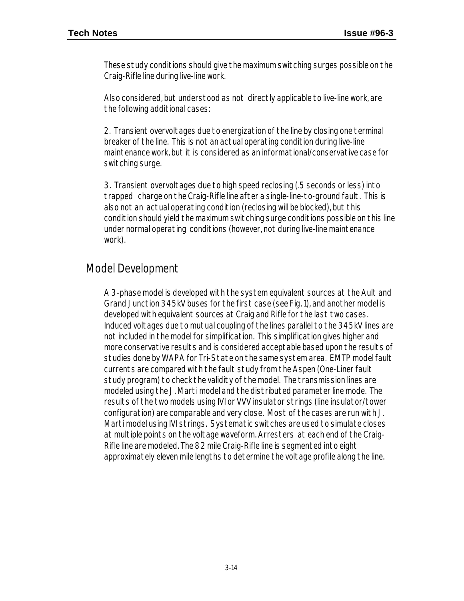These study conditions should give the maximum switching surges possible on the Craig-Rifle line during live-line work.

Also considered, but understood as not directly applicable to live-line work, are the following additional cases:

2. Transient overvoltages due to energization of the line by closing one terminal breaker of the line. This is not an actual operating condition during live-line maintenance work, but it is considered as an informational/conservative case for switching surge.

3. Transient overvoltages due to high speed reclosing (.5 seconds or less) into trapped charge on the Craig-Rifle line after a single-line-to-ground fault. This is also not an actual operating condition (reclosing will be blocked), but this condition should yield the maximum switching surge conditions possible on this line under normal operating conditions (however, not during live-line maintenance work).

### Model Development

A 3-phase model is developed with the system equivalent sources at the Ault and Grand Junction 345kV buses for the first case (see Fig. 1), and another model is developed with equivalent sources at Craig and Rifle for the last two cases. Induced voltages due to mutual coupling of the lines parallel to the 345kV lines are not included in the model for simplification. This simplification gives higher and more conservative results and is considered acceptable based upon the results of studies done by WAPA for Tri-State on the same system area. EMTP model fault currents are compared with the fault study from the Aspen (One-Liner fault study program) to check the validity of the model. The transmission lines are modeled using the J. Marti model and the distributed parameter line mode. The results of the two models using IVI or VVV insulator strings (line insulator/tower configuration) are comparable and very close. Most of the cases are run with J. Marti model using IVI strings. Systematic switches are used to simulate closes at multiple points on the voltage waveform. Arresters at each end of the Craig-Rifle line are modeled. The 82 mile Craig-Rifle line is segmented into eight approximately eleven mile lengths to determine the voltage profile along the line.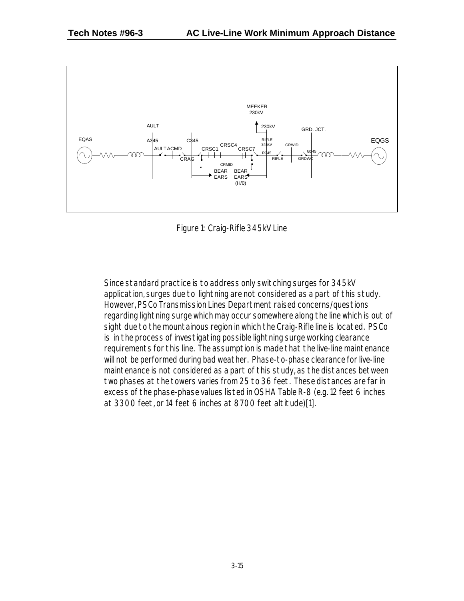

Figure 1: Craig-Rifle 345kV Line

Since standard practice is to address only switching surges for 345kV application, surges due to lightning are not considered as a part of this study. However, PSCo Transmission Lines Department raised concerns/questions regarding lightning surge which may occur somewhere along the line which is out of sight due to the mountainous region in which the Craig-Rifle line is located. PSCo is in the process of investigating possible lightning surge working clearance requirements for this line. The assumption is made that the live-line maintenance will not be performed during bad weather. Phase-to-phase clearance for live-line maintenance is not considered as a part of this study, as the distances between two phases at the towers varies from 25 to 36 feet. These distances are far in excess of the phase-phase values listed in OSHA Table R-8 (e.g. 12 feet 6 inches at 3300 feet, or 14 feet 6 inches at 8700 feet altitude)[1].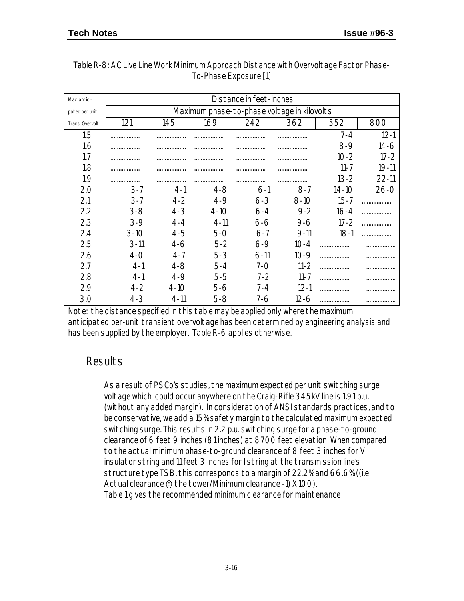| Max. antici-     | Distance in feet-inches |                                             |          |          |          |           |           |  |  |
|------------------|-------------------------|---------------------------------------------|----------|----------|----------|-----------|-----------|--|--|
| pated per unit   |                         | Maximum phase-to-phase voltage in kilovolts |          |          |          |           |           |  |  |
| Trans. Overvolt. | 121                     | 145                                         | 169      | 242      | 362      | 552       | 800       |  |  |
| 1.5              | .                       |                                             |          |          |          | $7 - 4$   | $12 - 1$  |  |  |
| 1.6              | .                       | .                                           | .        | .        | .        | $8-9$     | 14-6      |  |  |
| 1.7              |                         | .                                           |          | .        | .        | $10 - 2$  | $17 - 2$  |  |  |
| 1.8              |                         | .                                           | .        | .        | .        | $11 - 7$  | $19 - 11$ |  |  |
| 1.9              |                         | .                                           | .        | .        | .        | $13 - 2$  | $22 - 11$ |  |  |
| 2.0              | $3 - 7$                 | $4-1$                                       | $4 - 8$  | $6-1$    | $8 - 7$  | $14 - 10$ | $26 - 0$  |  |  |
| 2.1              | $3 - 7$                 | $4-2$                                       | $4 - 9$  | $6 - 3$  | $8-10$   | $15 - 7$  | .         |  |  |
| 2.2              | $3 - 8$                 | $4 - 3$                                     | $4-10$   | $6 - 4$  | $9 - 2$  | $16 - 4$  | .         |  |  |
| 2.3              | $3-9$                   | $4 - 4$                                     | $4 - 11$ | 6-6      | $9-6$    | $17 - 2$  |           |  |  |
| 2.4              | $3-10$                  | $4 - 5$                                     | $5-0$    | $6 - 7$  | $9 - 11$ | $18-1$    | .         |  |  |
| 2.5              | $3 - 11$                | $4-6$                                       | $5-2$    | $6-9$    | $10 - 4$ |           | .         |  |  |
| 2.6              | $4-0$                   | $4 - 7$                                     | $5 - 3$  | $6 - 11$ | $10-9$   |           | .         |  |  |
| 2.7              | $4 - 1$                 | 4-8                                         | $5 - 4$  | 7-N      | $11 - 2$ | .         | .         |  |  |
| 2.8              | $4-1$                   | 4-9                                         | $5 - 5$  | $7-2$    | $11 - 7$ | .         |           |  |  |
| 2.9              | $4-2$                   | $4 - 10$                                    | 5-6      | 7-4      | $12 - 1$ | .         | .         |  |  |
| 3.0              | 4-3                     | $4 - 11$                                    | 5-8      | 7-6      | 12-6     | .         |           |  |  |

| Table R-8: AC Live Line Work Minimum Approach Distance with Overvoltage Factor Phase- |
|---------------------------------------------------------------------------------------|
| To-Phase Exposure [1]                                                                 |

Note: the distance specified in this table may be applied only where the maximum anticipated per-unit transient overvoltage has been determined by engineering analysis and has been supplied by the employer. Table R-6 applies otherwise.

### Results

As a result of PSCo's studies, the maximum expected per unit switching surge voltage which could occur anywhere on the Craig-Rifle 345kV line is 1.91 p.u. (without any added margin). In consideration of ANSI standards practices, and to be conservative, we add a 15% safety margin to the calculated maximum expected switching surge. This results in 2.2 p.u. switching surge for a phase-to-ground clearance of 6 feet 9 inches (81 inches) at 8700 feet elevation. When compared to the actual minimum phase-to-ground clearance of 8 feet 3 inches for V insulator string and 11 feet 3 inches for I string at the transmission line's structure type TSB, this corresponds to a margin of 22.2% and 66.6% ((i.e. Actual clearance @ the tower/Minimum clearance -1) X 100). Table 1 gives the recommended minimum clearance for maintenance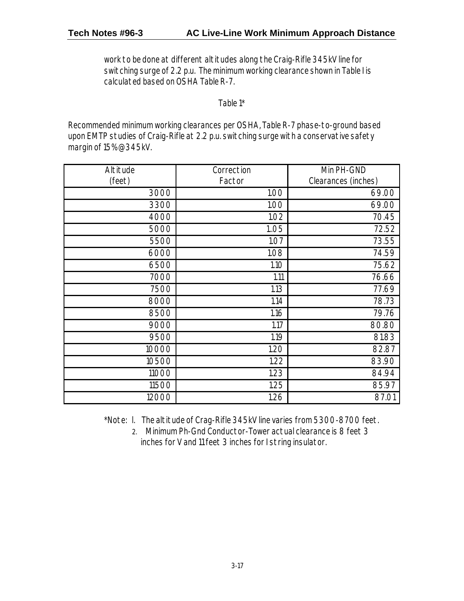work to be done at different altitudes along the Craig-Rifle 345kV line for switching surge of 2.2 p.u. The minimum working clearance shown in Table I is calculated based on OSHA Table R-7.

Table 1\*

Recommended minimum working clearances per OSHA, Table R-7 phase-to-ground based upon EMTP studies of Craig-Rifle at 2.2 p.u. switching surge with a conservative safety margin of 15% @345kV.

| Altitude | Correction | Min PH-GND          |
|----------|------------|---------------------|
| (feet)   | Factor     | Clearances (inches) |
| 3000     | 1.00       | 69.00               |
| 3300     | 1.00       | 69.00               |
| 4000     | 1.02       | 70.45               |
| 5000     | 1.05       | 72.52               |
| 5500     | 1.07       | 73.55               |
| 6000     | 1.08       | 74.59               |
| 6500     | 1.10       | 75.62               |
| 7000     | 1.11       | 76.66               |
| 7500     | 1.13       | 77.69               |
| 8000     | 1.14       | 78.73               |
| 8500     | 1.16       | 79.76               |
| 9000     | 1.17       | 80.80               |
| 9500     | 1.19       | 81.83               |
| 10000    | 1.20       | 82.87               |
| 10500    | 1.22       | 83.90               |
| 11000    | 1.23       | 84.94               |
| 11500    | 1.25       | 85.97               |
| 12000    | 1.26       | 87.01               |

\*Note: l. The altitude of Crag-Rifle 345kV line varies from 5300-8700 feet.

2. Minimum Ph-Gnd Conductor-Tower actual clearance is 8 feet 3 inches for V and 11 feet 3 inches for I string insulator.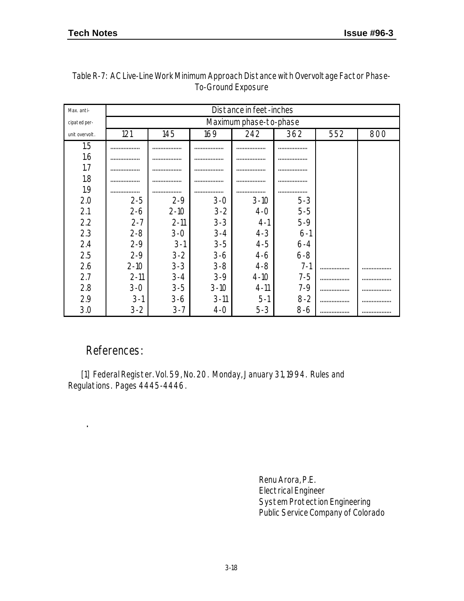| Max. anti-     | Distance in feet-inches |          |          |                        |         |     |     |
|----------------|-------------------------|----------|----------|------------------------|---------|-----|-----|
| cipated per-   |                         |          |          | Maximum phase-to-phase |         |     |     |
| unit overvolt. | 121                     | 145      | 169      | 242                    | 362     | 552 | 800 |
| 1.5            |                         |          | .        | .                      | .       |     |     |
| 1.6            |                         |          |          | .                      | .       |     |     |
| 1.7            |                         |          |          | .                      | .       |     |     |
| 1.8            |                         |          |          |                        | .       |     |     |
| 1.9            |                         |          |          |                        |         |     |     |
| 2.0            | $2 - 5$                 | $2 - 9$  | $3 - 0$  | $3 - 10$               | $5 - 3$ |     |     |
| 2.1            | $2 - 6$                 | $2-10$   | $3 - 2$  | $4-0$                  | $5 - 5$ |     |     |
| 2.2            | $2 - 7$                 | $2 - 11$ | $3 - 3$  | $4-1$                  | $5-9$   |     |     |
| 2.3            | $2 - 8$                 | $3 - 0$  | $3 - 4$  | $4 - 3$                | $6-1$   |     |     |
| 2.4            | $2 - 9$                 | $3-1$    | $3 - 5$  | $4 - 5$                | $6 - 4$ |     |     |
| 2.5            | $2 - 9$                 | $3 - 2$  | $3-6$    | 4-6                    | $6 - 8$ |     |     |
| 2.6            | $2-10$                  | $3 - 3$  | $3 - 8$  | $4 - 8$                | $7 - 1$ | .   | .   |
| 2.7            | $2 - 11$                | $3 - 4$  | $3-9$    | $4 - 10$               | $7 - 5$ | .   | .   |
| 2.8            | $3 - 0$                 | $3 - 5$  | $3-10$   | $4 - 11$               | $7 - 9$ | .   |     |
| 2.9            | $3-1$                   | $3-6$    | $3 - 11$ | $5-1$                  | $8 - 2$ |     |     |
| 3.0            | $3 - 2$                 | $3 - 7$  | $4-0$    | $5 - 3$                | 8-6     |     |     |

| Table R-7: AC Live-Line Work Minimum Approach Distance with Overvoltage Factor Phase- |
|---------------------------------------------------------------------------------------|
| To-Ground Exposure                                                                    |

### References:

.

 $\bar{\phantom{a}}$ 

 [1] Federal Register. Vol. 59, No. 20. Monday, January 31, 1994. Rules and Regulations. Pages 4445-4446.

> Renu Arora, P.E. Electrical Engineer System Protection Engineering Public Service Company of Colorado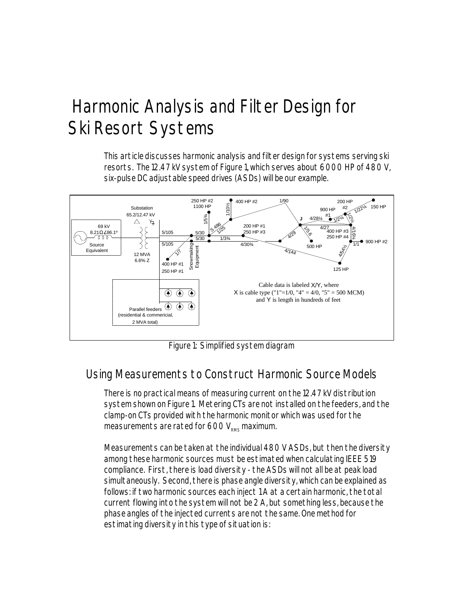# Harmonic Analysis and Filter Design for Ski Resort Systems

This article discusses harmonic analysis and filter design for systems serving ski resorts. The 12.47 kV system of Figure 1, which serves about 6000 HP of 480 V, six-pulse DC adjustable speed drives (ASDs) will be our example.



Figure 1: Simplified system diagram

## Using Measurements to Construct Harmonic Source Models

There is no practical means of measuring current on the 12.47 kV distribution system shown on Figure 1. Metering CTs are not installed on the feeders, and the clamp-on CTs provided with the harmonic monitor which was used for the measurements are rated for  $600 V_{\text{max}}$  maximum.

Measurements can be taken at the individual 480 V ASDs, but then the diversity among these harmonic sources must be estimated when calculating IEEE 519 compliance. First, there is load diversity - the ASDs will not all be at peak load simultaneously. Second, there is phase angle diversity, which can be explained as follows: if two harmonic sources each inject 1 A at a certain harmonic, the total current flowing into the system will not be 2 A, but something less, because the phase angles of the injected currents are not the same. One method for estimating diversity in this type of situation is: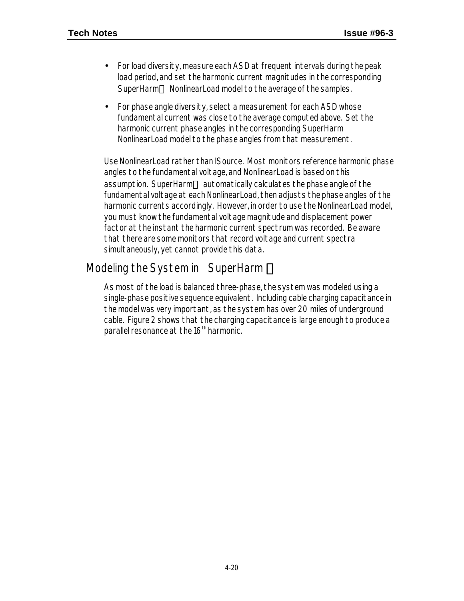- For load diversity, measure each ASD at frequent intervals during the peak load period, and set the harmonic current magnitudes in the corresponding SuperHarm*â* NonlinearLoad model to the average of the samples.
- For phase angle diversity, select a measurement for each ASD whose fundamental current was close to the average computed above. Set the harmonic current phase angles in the corresponding SuperHarm NonlinearLoad model to the phase angles from that measurement.

Use NonlinearLoad rather than ISource. Most monitors reference harmonic phase angles to the fundamental voltage, and NonlinearLoad is based on this assumption. SuperHarm*â* automatically calculates the phase angle of the fundamental voltage at each NonlinearLoad, then adjusts the phase angles of the harmonic currents accordingly. However, in order to use the NonlinearLoad model, you must know the fundamental voltage magnitude and displacement power factor at the instant the harmonic current spectrum was recorded. Be aware that there are some monitors that record voltage and current spectra simultaneously, yet cannot provide this data.

### Modeling the System in SuperHarm *â*

As most of the load is balanced three-phase, the system was modeled using a single-phase positive sequence equivalent. Including cable charging capacitance in the model was very important, as the system has over 20 miles of underground cable. Figure 2 shows that the charging capacitance is large enough to produce a parallel resonance at the  $16<sup>th</sup>$  harmonic.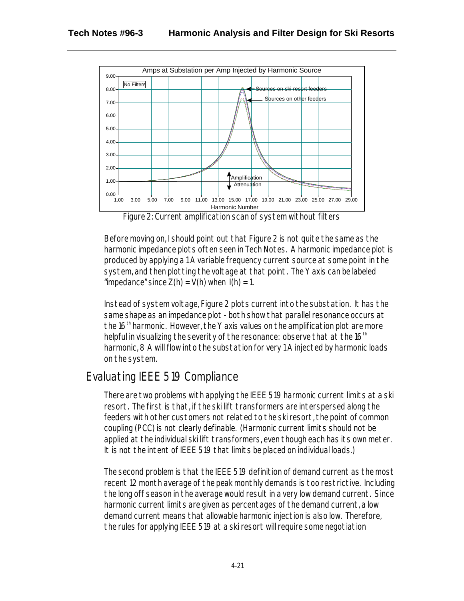

Figure 2: Current amplification scan of system without filters

Before moving on, I should point out that Figure 2 is not quite the same as the harmonic impedance plots often seen in Tech Notes. A harmonic impedance plot is produced by applying a 1 A variable frequency current source at some point in the system, and then plotting the voltage at that point. The Y axis can be labeled "impedance" since  $Z(h) = V(h)$  when  $I(h) = 1$ .

Instead of system voltage, Figure 2 plots current into the substation. It has the same shape as an impedance plot - both show that parallel resonance occurs at the  $16<sup>th</sup>$  harmonic. However, the Y axis values on the amplification plot are more helpful in visualizing the severity of the resonance: observe that at the  $16<sup>th</sup>$ harmonic, 8 A will flow into the substation for very 1 A injected by harmonic loads on the system.

## Evaluating IEEE 519 Compliance

There are two problems with applying the IEEE 519 harmonic current limits at a ski resort. The first is that, if the ski lift transformers are interspersed along the feeders with other customers not related to the ski resort, the point of common coupling (PCC) is not clearly definable. (Harmonic current limits should not be applied at the individual ski lift transformers, even though each has its own meter. It is not the intent of IEEE 519 that limits be placed on individual loads.)

The second problem is that the IEEE 519 definition of demand current as the most recent 12 month average of the peak monthly demands is too restrictive. Including the long off season in the average would result in a very low demand current. Since harmonic current limits are given as percentages of the demand current, a low demand current means that allowable harmonic injection is also low. Therefore, the rules for applying IEEE 519 at a ski resort will require some negotiation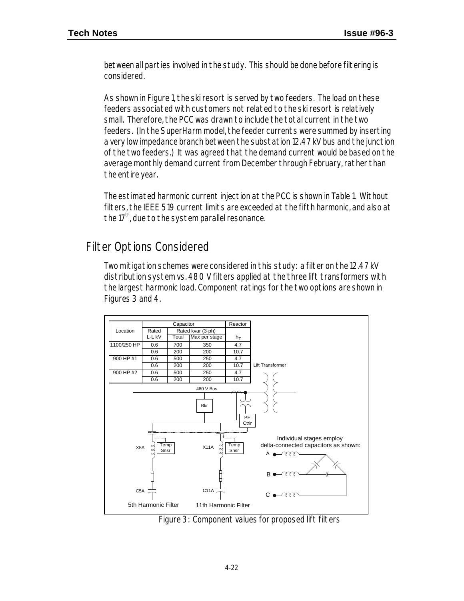between all parties involved in the study. This should be done before filtering is considered.

As shown in Figure 1, the ski resort is served by two feeders. The load on these feeders associated with customers not related to the ski resort is relatively small. Therefore, the PCC was drawn to include the total current in the two feeders. (In the SuperHarm model, the feeder currents were summed by inserting a very low impedance branch between the substation 12.47 kV bus and the junction of the two feeders.) It was agreed that the demand current would be based on the average monthly demand current from December through February, rather than the entire year.

The estimated harmonic current injection at the PCC is shown in Table 1. Without filters, the IEEE 519 current limits are exceeded at the fifth harmonic, and also at the  $17<sup>th</sup>$ , due to the system parallel resonance.

### Filter Options Considered

Two mitigation schemes were considered in this study: a filter on the 12.47 kV distribution system vs. 480 V filters applied at the three lift transformers with the largest harmonic load. Component ratings for the two options are shown in Figures 3 and 4.



Figure 3: Component values for proposed lift filters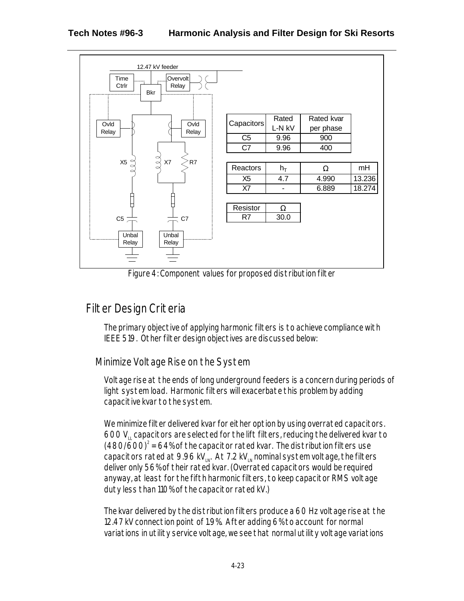

Figure 4: Component values for proposed distribution filter

## Filter Design Criteria

The primary objective of applying harmonic filters is to achieve compliance with IEEE 519. Other filter design objectives are discussed below:

### Minimize Voltage Rise on the System

Voltage rise at the ends of long underground feeders is a concern during periods of light system load. Harmonic filters will exacerbate this problem by adding capacitive kvar to the system.

We minimize filter delivered kvar for either option by using overrated capacitors. 600 VLL capacitors are selected for the lift filters, reducing the delivered kvar to  $(480/600)^2$  = 64% of the capacitor rated kvar. The distribution filters use capacitors rated at 9.96 kV $_{\text{N}}$ . At 7.2 kV $_{\text{N}}$  nominal system voltage, the filters deliver only 56% of their rated kvar. (Overrated capacitors would be required anyway, at least for the fifth harmonic filters, to keep capacitor RMS voltage duty less than 110% of the capacitor rated kV.)

The kvar delivered by the distribution filters produce a 60 Hz voltage rise at the 12.47 kV connection point of 1.9%. After adding 6% to account for normal variations in utility service voltage, we see that normal utility voltage variations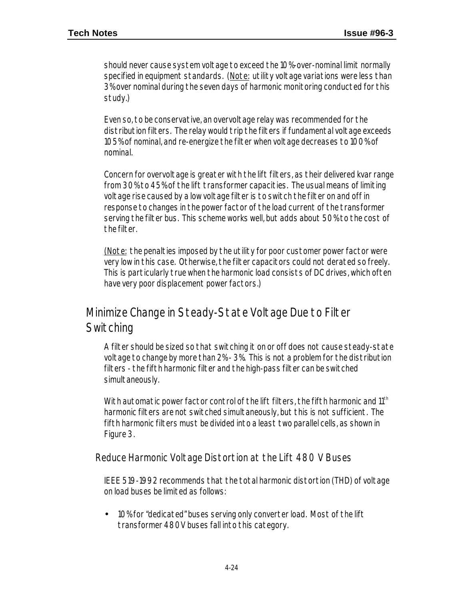should never cause system voltage to exceed the 10%-over-nominal limit normally specified in equipment standards. (Note: utility voltage variations were less than 3% over nominal during the seven days of harmonic monitoring conducted for this study.)

Even so, to be conservative, an overvoltage relay was recommended for the distribution filters. The relay would trip the filters if fundamental voltage exceeds 105% of nominal, and re-energize the filter when voltage decreases to 100% of nominal.

Concern for overvoltage is greater with the lift filters, as their delivered kvar range from 30% to 45% of the lift transformer capacities. The usual means of limiting voltage rise caused by a low voltage filter is to switch the filter on and off in response to changes in the power factor of the load current of the transformer serving the filter bus. This scheme works well, but adds about 50% to the cost of the filter.

(Note: the penalties imposed by the utility for poor customer power factor were very low in this case. Otherwise, the filter capacitors could not derated so freely. This is particularly true when the harmonic load consists of DC drives, which often have very poor displacement power factors.)

### Minimize Change in Steady-State Voltage Due to Filter **Switching**

A filter should be sized so that switching it on or off does not cause steady-state voltage to change by more than 2% - 3%. This is not a problem for the distribution filters - the fifth harmonic filter and the high-pass filter can be switched simultaneously.

With automatic power factor control of the lift filters, the fifth harmonic and  $11<sup>th</sup>$ harmonic filters are not switched simultaneously, but this is not sufficient. The fifth harmonic filters must be divided into a least two parallel cells, as shown in Figure 3.

Reduce Harmonic Voltage Distortion at the Lift 480 V Buses

IEEE 519-1992 recommends that the total harmonic distortion (THD) of voltage on load buses be limited as follows:

• 10% for "dedicated" buses serving only converter load. Most of the lift transformer 480V buses fall into this category.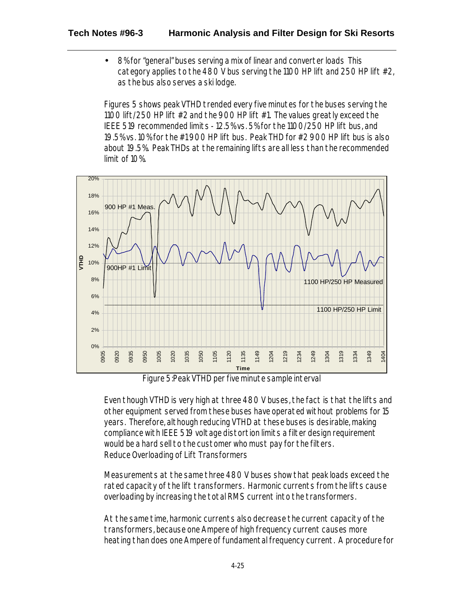• 8% for "general" buses serving a mix of linear and converter loads This category applies to the 480 V bus serving the 1100 HP lift and 250 HP lift #2, as the bus also serves a ski lodge.

Figures 5 shows peak VTHD trended every five minutes for the buses serving the 1100 lift/250 HP lift #2 and the 900 HP lift #1. The values greatly exceed the IEEE 519 recommended limits - 12.5% vs. 5% for the 1100/250 HP lift bus, and 19.5% vs. 10% for the #1 900 HP lift bus. Peak THD for #2 900 HP lift bus is also about 19.5%. Peak THDs at the remaining lifts are all less than the recommended limit of 10%.



Figure 5:Peak VTHD per five minute sample interval

Even though VTHD is very high at three 480 V buses, the fact is that the lifts and other equipment served from these buses have operated without problems for 15 years. Therefore, although reducing VTHD at these buses is desirable, making compliance with IEEE 519 voltage distortion limits a filter design requirement would be a hard sell to the customer who must pay for the filters. Reduce Overloading of Lift Transformers

Measurements at the same three 480 V buses show that peak loads exceed the rated capacity of the lift transformers. Harmonic currents from the lifts cause overloading by increasing the total RMS current into the transformers.

At the same time, harmonic currents also decrease the current capacity of the transformers, because one Ampere of high frequency current causes more heating than does one Ampere of fundamental frequency current. A procedure for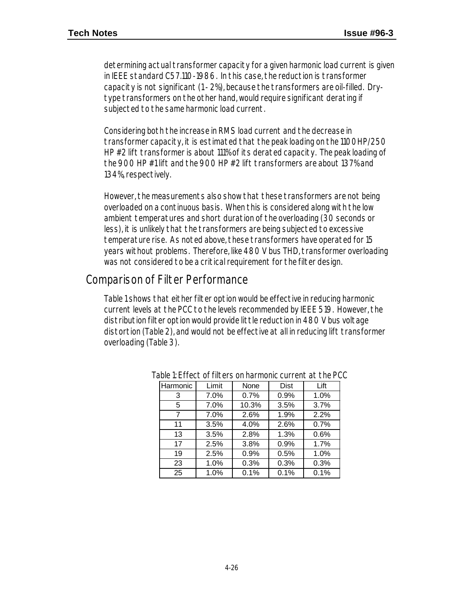determining actual transformer capacity for a given harmonic load current is given in IEEE standard C57.110-1986. In this case, the reduction is transformer capacity is not significant (1 - 2%), because the transformers are oil-filled. Drytype transformers on the other hand, would require significant derating if subjected to the same harmonic load current.

Considering both the increase in RMS load current and the decrease in transformer capacity, it is estimated that the peak loading on the 1100HP/250 HP #2 lift transformer is about 111% of its derated capacity. The peak loading of the 900 HP #1 lift and the 900 HP #2 lift transformers are about 137% and 134%, respectively.

However, the measurements also show that these transformers are not being overloaded on a continuous basis. When this is considered along with the low ambient temperatures and short duration of the overloading (30 seconds or less), it is unlikely that the transformers are being subjected to excessive temperature rise. As noted above, these transformers have operated for 15 years without problems. Therefore, like 480 V bus THD, transformer overloading was not considered to be a critical requirement for the filter design.

### Comparison of Filter Performance

Table 1 shows that either filter option would be effective in reducing harmonic current levels at the PCC to the levels recommended by IEEE 519. However, the distribution filter option would provide little reduction in 480 V bus voltage distortion (Table 2), and would not be effective at all in reducing lift transformer overloading (Table 3).

| Harmonic | Limit | None  | Dist | Lift |
|----------|-------|-------|------|------|
| 3        | 7.0%  | 0.7%  | 0.9% | 1.0% |
| 5        | 7.0%  | 10.3% | 3.5% | 3.7% |
| 7        | 7.0%  | 2.6%  | 1.9% | 2.2% |
| 11       | 3.5%  | 4.0%  | 2.6% | 0.7% |
| 13       | 3.5%  | 2.8%  | 1.3% | 0.6% |
| 17       | 2.5%  | 3.8%  | 0.9% | 1.7% |
| 19       | 2.5%  | 0.9%  | 0.5% | 1.0% |
| 23       | 1.0%  | 0.3%  | 0.3% | 0.3% |
| 25       | 1.0%  | 0.1%  | 0.1% | 0.1% |

Table 1: Effect of filters on harmonic current at the PCC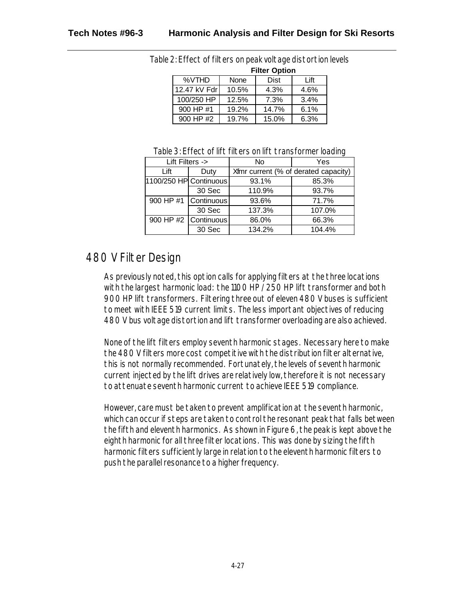|              | <b>Filter Option</b> |       |      |  |  |  |  |
|--------------|----------------------|-------|------|--|--|--|--|
| %VTHD        | None                 | Dist  | Lift |  |  |  |  |
| 12.47 kV Fdr | 10.5%                | 4.3%  | 4.6% |  |  |  |  |
| 100/250 HP   | 12.5%                | 7.3%  | 3.4% |  |  |  |  |
| 900 HP #1    | 19.2%                | 14.7% | 6.1% |  |  |  |  |
| 900 HP #2    | 19.7%                | 15.0% | 6.3% |  |  |  |  |

Table 2: Effect of filters on peak voltage distortion levels

| Table 3: Effect of lift filters on lift transformer loading |  |
|-------------------------------------------------------------|--|
|-------------------------------------------------------------|--|

| Lift Filters ->        |                      | No                                   | Yes    |
|------------------------|----------------------|--------------------------------------|--------|
| Lift                   | Duty                 | Xfmr current (% of derated capacity) |        |
| 1100/250 HP Continuous |                      | 93.1%                                | 85.3%  |
|                        | 30 Sec               | 110.9%                               | 93.7%  |
|                        | 900 HP #1 Continuous | 93.6%                                | 71.7%  |
|                        | 30 Sec               | 137.3%                               | 107.0% |
|                        | 900 HP #2 Continuous | 86.0%                                | 66.3%  |
|                        | 30 Sec               | 134.2%                               | 104.4% |

### 480 V Filter Design

As previously noted, this option calls for applying filters at the three locations with the largest harmonic load: the 1100 HP / 250 HP lift transformer and both 900 HP lift transformers. Filtering three out of eleven 480 V buses is sufficient to meet with IEEE 519 current limits. The less important objectives of reducing 480 V bus voltage distortion and lift transformer overloading are also achieved.

None of the lift filters employ seventh harmonic stages. Necessary here to make the 480 V filters more cost competitive with the distribution filter alternative, this is not normally recommended. Fortunately, the levels of seventh harmonic current injected by the lift drives are relatively low, therefore it is not necessary to attenuate seventh harmonic current to achieve IEEE 519 compliance.

However, care must be taken to prevent amplification at the seventh harmonic, which can occur if steps are taken to control the resonant peak that falls between the fifth and eleventh harmonics. As shown in Figure 6, the peak is kept above the eighth harmonic for all three filter locations. This was done by sizing the fifth harmonic filters sufficiently large in relation to the eleventh harmonic filters to push the parallel resonance to a higher frequency.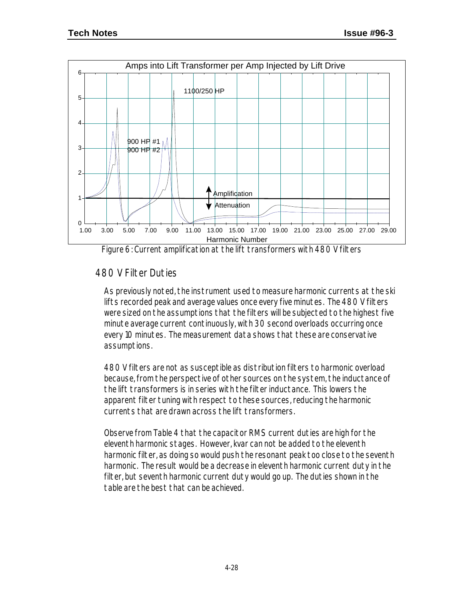

Figure 6: Current amplification at the lift transformers with 480 V filters

#### 480 V Filter Duties

As previously noted, the instrument used to measure harmonic currents at the ski lifts recorded peak and average values once every five minutes. The 480 V filters were sized on the assumptions that the filters will be subjected to the highest five minute average current continuously, with 30 second overloads occurring once every 10 minutes. The measurement data shows that these are conservative assumptions.

480 V filters are not as susceptible as distribution filters to harmonic overload because, from the perspective of other sources on the system, the inductance of the lift transformers is in series with the filter inductance. This lowers the apparent filter tuning with respect to these sources, reducing the harmonic currents that are drawn across the lift transformers.

Observe from Table 4 that the capacitor RMS current duties are high for the eleventh harmonic stages. However, kvar can not be added to the eleventh harmonic filter, as doing so would push the resonant peak too close to the seventh harmonic. The result would be a decrease in eleventh harmonic current duty in the filter, but seventh harmonic current duty would go up. The duties shown in the table are the best that can be achieved.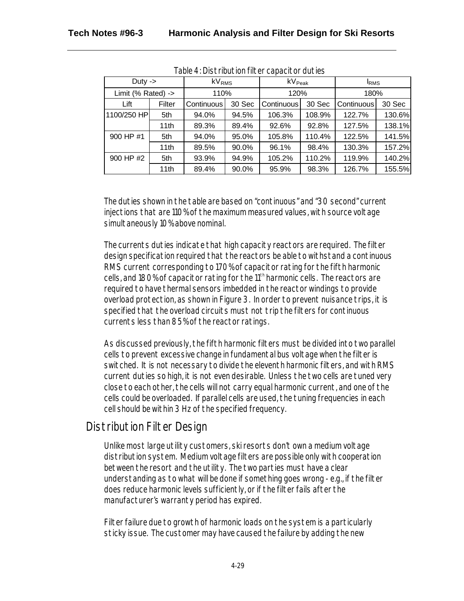| Duty $\rightarrow$            |        | kV <sub>RMS</sub> |        | k $\mathsf{V}_{\mathsf{Peak}}$ |        | <b>IRMS</b> |        |
|-------------------------------|--------|-------------------|--------|--------------------------------|--------|-------------|--------|
| Limit (% Rated) $\rightarrow$ |        | 110%              |        | 120%                           |        | 180%        |        |
| Lift                          | Filter | Continuous        | 30 Sec | Continuous                     | 30 Sec | Continuous  | 30 Sec |
| 1100/250 HP                   | 5th    | 94.0%             | 94.5%  | 106.3%                         | 108.9% | 122.7%      | 130.6% |
|                               | 11th   | 89.3%             | 89.4%  | 92.6%                          | 92.8%  | 127.5%      | 138.1% |
| 900 HP #1                     | 5th    | 94.0%             | 95.0%  | 105.8%                         | 110.4% | 122.5%      | 141.5% |
|                               | 11th   | 89.5%             | 90.0%  | 96.1%                          | 98.4%  | 130.3%      | 157.2% |
| 900 HP #2                     | 5th    | 93.9%             | 94.9%  | 105.2%                         | 110.2% | 119.9%      | 140.2% |
|                               | 11th   | 89.4%             | 90.0%  | 95.9%                          | 98.3%  | 126.7%      | 155.5% |

Table 4: Distribution filter capacitor duties

The duties shown in the table are based on "continuous" and "30 second" current injections that are 110% of the maximum measured values, with source voltage simultaneously 10% above nominal.

The currents duties indicate that high capacity reactors are required. The filter design specification required that the reactors be able to withstand a continuous RMS current corresponding to 170% of capacitor rating for the fifth harmonic cells, and 180% of capacitor rating for the 11<sup>th</sup> harmonic cells. The reactors are required to have thermal sensors imbedded in the reactor windings to provide overload protection, as shown in Figure 3. In order to prevent nuisance trips, it is specified that the overload circuits must not trip the filters for continuous currents less than 85% of the reactor ratings.

As discussed previously, the fifth harmonic filters must be divided into two parallel cells to prevent excessive change in fundamental bus voltage when the filter is switched. It is not necessary to divide the eleventh harmonic filters, and with RMS current duties so high, it is not even desirable. Unless the two cells are tuned very close to each other, the cells will not carry equal harmonic current, and one of the cells could be overloaded. If parallel cells are used, the tuning frequencies in each cell should be within 3 Hz of the specified frequency.

### Distribution Filter Design

Unlike most large utility customers, ski resorts don't own a medium voltage distribution system. Medium voltage filters are possible only with cooperation between the resort and the utility. The two parties must have a clear understanding as to what will be done if something goes wrong - e.g., if the filter does reduce harmonic levels sufficiently, or if the filter fails after the manufacturer's warranty period has expired.

Filter failure due to growth of harmonic loads on the system is a particularly sticky issue. The customer may have caused the failure by adding the new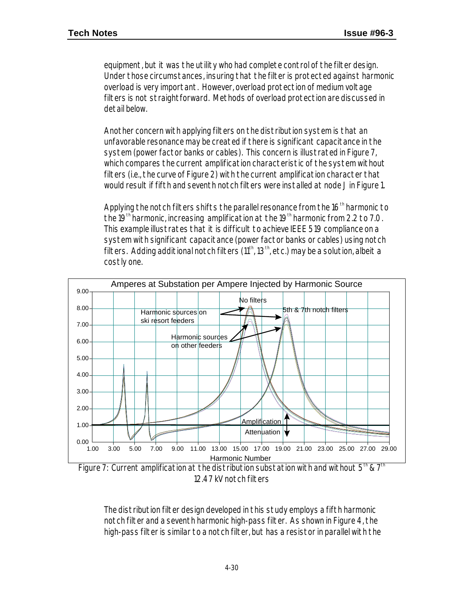equipment, but it was the utility who had complete control of the filter design. Under those circumstances, insuring that the filter is protected against harmonic overload is very important. However, overload protection of medium voltage filters is not straightforward. Methods of overload protection are discussed in detail below.

Another concern with applying filters on the distribution system is that an unfavorable resonance may be created if there is significant capacitance in the system (power factor banks or cables). This concern is illustrated in Figure 7, which compares the current amplification characteristic of the system without filters (i.e., the curve of Figure 2) with the current amplification character that would result if fifth and seventh notch filters were installed at node J in Figure 1.

Applying the notch filters shifts the parallel resonance from the  $16<sup>th</sup>$  harmonic to the 19<sup>th</sup> harmonic, increasing amplification at the 19<sup>th</sup> harmonic from 2.2 to 7.0. This example illustrates that it is difficult to achieve IEEE 519 compliance on a system with significant capacitance (power factor banks or cables) using notch filters. Adding additional notch filters  $(11<sup>th</sup>, 13<sup>th</sup>, etc.)$  may be a solution, albeit a costly one.



Figure 7: Current amplification at the distribution substation with and without  $5<sup>th</sup>$  &  $7<sup>th</sup>$ 12.47 kV notch filters

The distribution filter design developed in this study employs a fifth harmonic notch filter and a seventh harmonic high-pass filter. As shown in Figure 4, the high-pass filter is similar to a notch filter, but has a resistor in parallel with the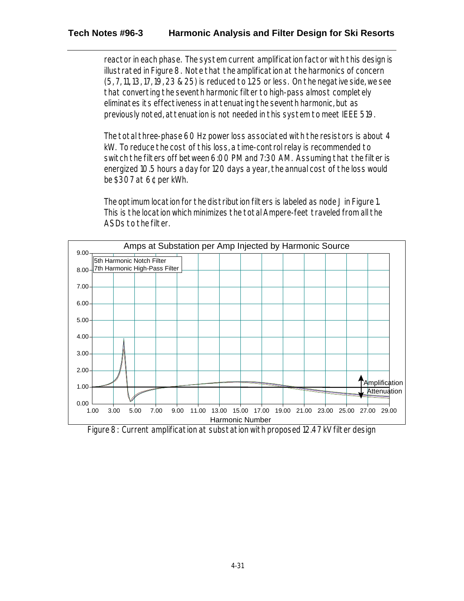#### **Tech Notes #96-3 Harmonic Analysis and Filter Design for Ski Resorts**

reactor in each phase. The system current amplification factor with this design is illustrated in Figure 8. Note that the amplification at the harmonics of concern (5, 7, 11, 13, 17, 19, 23 & 25) is reduced to 1.25 or less. On the negative side, we see that converting the seventh harmonic filter to high-pass almost completely eliminates its effectiveness in attenuating the seventh harmonic, but as previously noted, attenuation is not needed in this system to meet IEEE 519.

The total three-phase 60 Hz power loss associated with the resistors is about 4 kW. To reduce the cost of this loss, a time-control relay is recommended to switch the filters off between 6:00 PM and 7:30 AM. Assuming that the filter is energized 10.5 hours a day for 120 days a year, the annual cost of the loss would be \$307 at 6¢ per kWh.

The optimum location for the distribution filters is labeled as node J in Figure 1. This is the location which minimizes the total Ampere-feet traveled from all the ASDs to the filter.



Figure 8: Current amplification at substation with proposed 12.47 kV filter design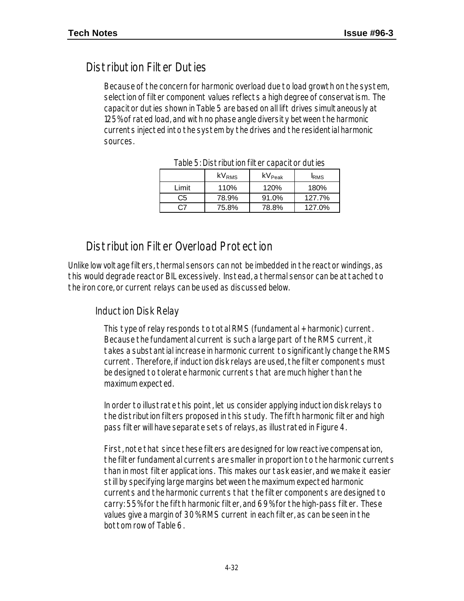## Distribution Filter Duties

Because of the concern for harmonic overload due to load growth on the system, selection of filter component values reflects a high degree of conservatism. The capacitor duties shown in Table 5 are based on all lift drives simultaneously at 125% of rated load, and with no phase angle diversity between the harmonic currents injected into the system by the drives and the residential harmonic sources.

|       | kV <sub>RMS</sub> | $\mathsf{kV}_{\mathsf{Peak}}$ | <b>I</b> RMS |  |  |  |
|-------|-------------------|-------------------------------|--------------|--|--|--|
| Limit | 110%              | 120%                          | 180%         |  |  |  |
| C5    | 78.9%             | 91.0%                         | 127.7%       |  |  |  |
| C7    | 75.8%             | 78.8%                         | 127.0%       |  |  |  |

Table 5: Distribution filter capacitor duties

### Distribution Filter Overload Protection

Unlike low voltage filters, thermal sensors can not be imbedded in the reactor windings, as this would degrade reactor BIL excessively. Instead, a thermal sensor can be attached to the iron core, or current relays can be used as discussed below.

#### Induction Disk Relay

This type of relay responds to total RMS (fundamental + harmonic) current. Because the fundamental current is such a large part of the RMS current, it takes a substantial increase in harmonic current to significantly change the RMS current. Therefore, if induction disk relays are used, the filter components must be designed to tolerate harmonic currents that are much higher than the maximum expected.

In order to illustrate this point, let us consider applying induction disk relays to the distribution filters proposed in this study. The fifth harmonic filter and high pass filter will have separate sets of relays, as illustrated in Figure 4.

First, note that since these filters are designed for low reactive compensation, the filter fundamental currents are smaller in proportion to the harmonic currents than in most filter applications. This makes our task easier, and we make it easier still by specifying large margins between the maximum expected harmonic currents and the harmonic currents that the filter components are designed to carry: 55% for the fifth harmonic filter, and 69% for the high-pass filter. These values give a margin of 30% RMS current in each filter, as can be seen in the bottom row of Table 6.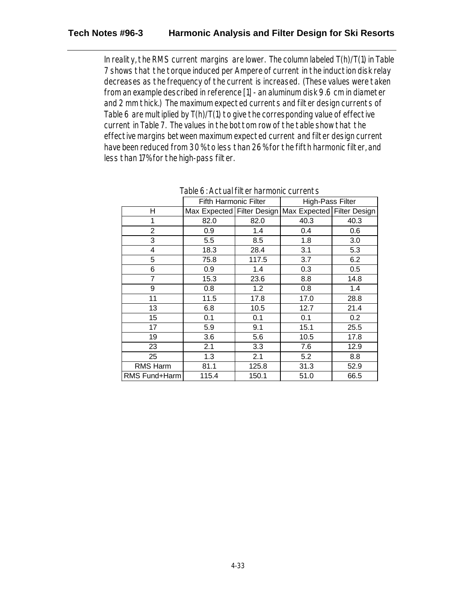#### **Tech Notes #96-3 Harmonic Analysis and Filter Design for Ski Resorts**

In reality, the RMS current margins are lower. The column labeled T(h)/T(1) in Table 7 shows that the torque induced per Ampere of current in the induction disk relay decreases as the frequency of the current is increased. (These values were taken from an example described in reference [1] - an aluminum disk 9.6 cm in diameter and 2 mm thick.) The maximum expected currents and filter design currents of Table 6 are multiplied by T(h)/T(1) to give the corresponding value of effective current in Table 7. The values in the bottom row of the table show that the effective margins between maximum expected current and filter design current have been reduced from 30% to less than 26% for the fifth harmonic filter, and less than 17% for the high-pass filter.

|                 | <b>Fifth Harmonic Filter</b> |       | High-Pass Filter           |      |  |
|-----------------|------------------------------|-------|----------------------------|------|--|
| Н               | Max Expected Filter Design   |       | Max Expected Filter Design |      |  |
| 1               | 82.0                         | 82.0  | 40.3                       | 40.3 |  |
| $\overline{2}$  | 0.9                          | 1.4   | 0.4                        | 0.6  |  |
| 3               | 5.5                          | 8.5   | 1.8                        | 3.0  |  |
| 4               | 18.3                         | 28.4  | 3.1                        | 5.3  |  |
| 5               | 75.8                         | 117.5 | 3.7                        | 6.2  |  |
| 6               | 0.9                          | 1.4   | 0.3                        | 0.5  |  |
| 7               | 15.3                         | 23.6  | 8.8                        | 14.8 |  |
| 9               | 0.8                          | 1.2   | 0.8                        | 1.4  |  |
| 11              | 11.5                         | 17.8  | 17.0                       | 28.8 |  |
| 13              | 6.8                          | 10.5  | 12.7                       | 21.4 |  |
| 15              | 0.1                          | 0.1   | 0.1                        | 0.2  |  |
| 17              | 5.9                          | 9.1   | 15.1                       | 25.5 |  |
| 19              | 3.6                          | 5.6   | 10.5                       | 17.8 |  |
| 23              | 2.1                          | 3.3   | 7.6                        | 12.9 |  |
| 25              | 1.3                          | 2.1   | 5.2                        | 8.8  |  |
| <b>RMS Harm</b> | 81.1                         | 125.8 | 31.3                       | 52.9 |  |
| RMS Fund+Harm   | 115.4                        | 150.1 | 51.0                       | 66.5 |  |

Table 6: Actual filter harmonic currents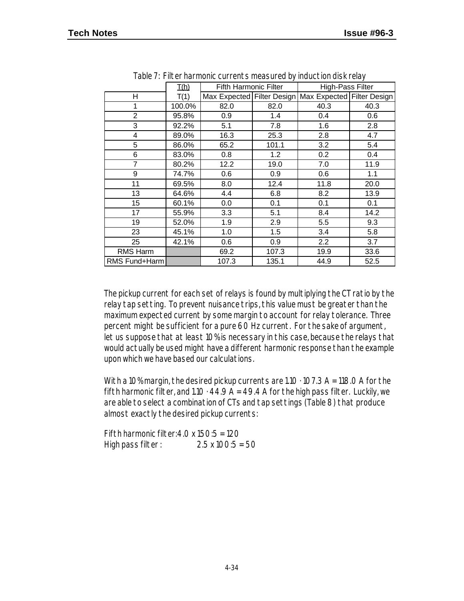| $\frac{1}{2}$ able $\frac{1}{2}$ . Theorimal mome barrones into abandon $\frac{1}{2}$ induced for about old $\frac{1}{2}$ |        |                              |       |                                                       |      |  |  |  |  |  |
|---------------------------------------------------------------------------------------------------------------------------|--------|------------------------------|-------|-------------------------------------------------------|------|--|--|--|--|--|
|                                                                                                                           | I(h)   | <b>Fifth Harmonic Filter</b> |       | <b>High-Pass Filter</b>                               |      |  |  |  |  |  |
| H                                                                                                                         | T(1)   |                              |       | Max Expected Filter Design Max Expected Filter Design |      |  |  |  |  |  |
| 1                                                                                                                         | 100.0% | 82.0                         | 82.0  | 40.3                                                  | 40.3 |  |  |  |  |  |
| $\overline{2}$                                                                                                            | 95.8%  | 0.9                          | 1.4   | 0.4                                                   | 0.6  |  |  |  |  |  |
| 3                                                                                                                         | 92.2%  | 5.1                          | 7.8   | 1.6                                                   | 2.8  |  |  |  |  |  |
| 4                                                                                                                         | 89.0%  | 16.3                         | 25.3  | 2.8                                                   | 4.7  |  |  |  |  |  |
| 5                                                                                                                         | 86.0%  | 65.2                         | 101.1 | 3.2                                                   | 5.4  |  |  |  |  |  |
| 6                                                                                                                         | 83.0%  | 0.8                          | 1.2   | 0.2                                                   | 0.4  |  |  |  |  |  |
| 7                                                                                                                         | 80.2%  | 12.2                         | 19.0  | 7.0                                                   | 11.9 |  |  |  |  |  |
| 9                                                                                                                         | 74.7%  | 0.6                          | 0.9   | 0.6                                                   | 1.1  |  |  |  |  |  |
| 11                                                                                                                        | 69.5%  | 8.0                          | 12.4  | 11.8                                                  | 20.0 |  |  |  |  |  |
| 13                                                                                                                        | 64.6%  | 4.4                          | 6.8   | 8.2                                                   | 13.9 |  |  |  |  |  |
| 15                                                                                                                        | 60.1%  | 0.0                          | 0.1   | 0.1                                                   | 0.1  |  |  |  |  |  |
| 17                                                                                                                        | 55.9%  | 3.3                          | 5.1   | 8.4                                                   | 14.2 |  |  |  |  |  |
| 19                                                                                                                        | 52.0%  | 1.9                          | 2.9   | 5.5                                                   | 9.3  |  |  |  |  |  |
| 23                                                                                                                        | 45.1%  | 1.0                          | 1.5   | 3.4                                                   | 5.8  |  |  |  |  |  |
| 25                                                                                                                        | 42.1%  | 0.6                          | 0.9   | 2.2                                                   | 3.7  |  |  |  |  |  |
| RMS Harm                                                                                                                  |        | 69.2                         | 107.3 | 19.9                                                  | 33.6 |  |  |  |  |  |
| RMS Fund+Harm                                                                                                             |        | 107.3                        | 135.1 | 44.9                                                  | 52.5 |  |  |  |  |  |

Table 7: Filter harmonic currents measured by induction disk relay

The pickup current for each set of relays is found by multiplying the CT ratio by the relay tap setting. To prevent nuisance trips, this value must be greater than the maximum expected current by some margin to account for relay tolerance. Three percent might be sufficient for a pure 60 Hz current. For the sake of argument, let us suppose that at least 10% is necessary in this case, because the relays that would actually be used might have a different harmonic response than the example upon which we have based our calculations.

With a 10% margin, the desired pickup currents are  $1.10 \cdot 107.3$  A = 118.0 A for the fifth harmonic filter, and  $1.10 \cdot 44.9$  A = 49.4 A for the high pass filter. Luckily, we are able to select a combination of CTs and tap settings (Table 8) that produce almost exactly the desired pickup currents:

Fifth harmonic filter:  $4.0 \times 150:5 = 120$ High pass filter : 2.5 x 100:5 = 50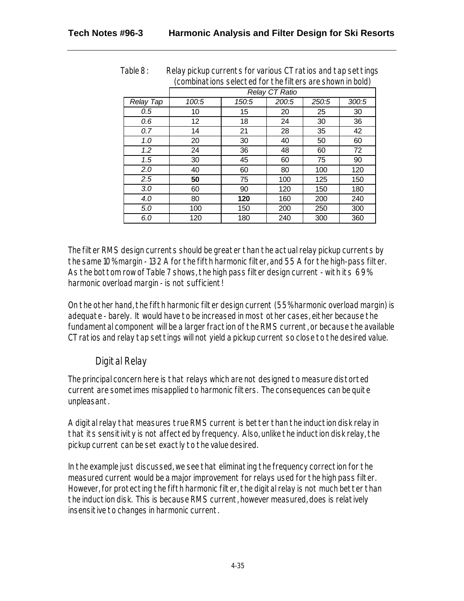|           | (COLIDDITATIONS SEIECTED FOL THE HITELS ALE SHOWN HIT DOID) |       |       |       |       |  |  |
|-----------|-------------------------------------------------------------|-------|-------|-------|-------|--|--|
|           | Relay CT Ratio                                              |       |       |       |       |  |  |
| Relay Tap | 100:5                                                       | 150:5 | 200:5 | 250:5 | 300:5 |  |  |
| 0.5       | 10                                                          | 15    | 20    | 25    | 30    |  |  |
| 0.6       | 12                                                          | 18    | 24    | 30    | 36    |  |  |
| 0.7       | 14                                                          | 21    | 28    | 35    | 42    |  |  |
| 1.0       | 20                                                          | 30    | 40    | 50    | 60    |  |  |
| 1.2       | 24                                                          | 36    | 48    | 60    | 72    |  |  |
| 1.5       | 30                                                          | 45    | 60    | 75    | 90    |  |  |
| 2.0       | 40                                                          | 60    | 80    | 100   | 120   |  |  |
| 2.5       | 50                                                          | 75    | 100   | 125   | 150   |  |  |
| 3.0       | 60                                                          | 90    | 120   | 150   | 180   |  |  |
| 4.0       | 80                                                          | 120   | 160   | 200   | 240   |  |  |
| 5.0       | 100                                                         | 150   | 200   | 250   | 300   |  |  |
| 6.0       | 120                                                         | 180   | 240   | 300   | 360   |  |  |

Table 8: Relay pickup currents for various CT ratios and tap settings (combinations selected for the filters are shown in bold)

The filter RMS design currents should be greater than the actual relay pickup currents by the same 10% margin - 132 A for the fifth harmonic filter, and 55 A for the high-pass filter. As the bottom row of Table 7 shows, the high pass filter design current - with its 69% harmonic overload margin - is not sufficient!

On the other hand, the fifth harmonic filter design current (55% harmonic overload margin) is adequate - barely. It would have to be increased in most other cases, either because the fundamental component will be a larger fraction of the RMS current, or because the available CT ratios and relay tap settings will not yield a pickup current so close to the desired value.

#### Digital Relay

The principal concern here is that relays which are not designed to measure distorted current are sometimes misapplied to harmonic filters. The consequences can be quite unpleasant.

A digital relay that measures true RMS current is better than the induction disk relay in that its sensitivity is not affected by frequency. Also, unlike the induction disk relay, the pickup current can be set exactly to the value desired.

In the example just discussed, we see that eliminating the frequency correction for the measured current would be a major improvement for relays used for the high pass filter. However, for protecting the fifth harmonic filter, the digital relay is not much better than the induction disk. This is because RMS current, however measured, does is relatively insensitive to changes in harmonic current.